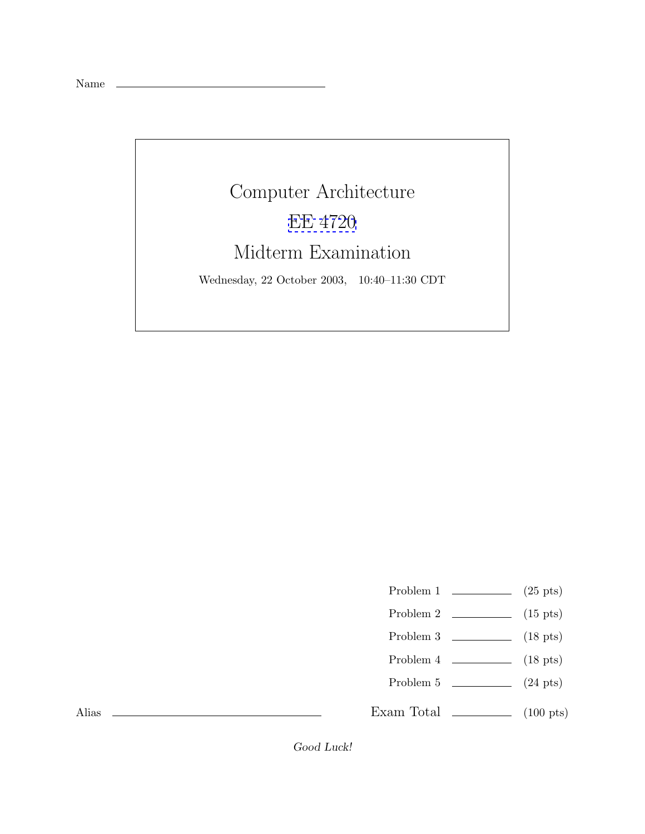Name



- Problem 1  $\qquad \qquad$  (25 pts)
- Problem 2 (15 pts)
- Problem 3 (18 pts)
- Problem  $4 \t\t(18 \text{ pts})$
- Problem  $5 \t\t(24 \text{ pts})$

Exam Total  $\qquad \qquad$  (100 pts)

Alias

*Good Luck!*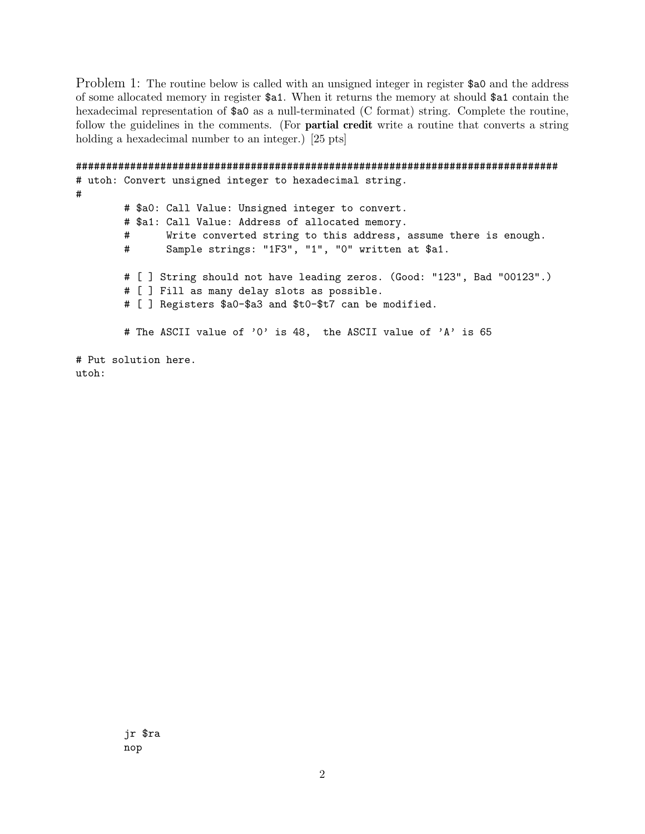Problem 1: The routine below is called with an unsigned integer in register \$50 and the address of some allocated memory in register \$a1. When it returns the memory at should \$a1 contain the hexadecimal representation of  $a_0$  as a null-terminated (C format) string. Complete the routine, follow the guidelines in the comments. (For **partial credit** write a routine that converts a string holding a hexadecimal number to an integer.) [25 pts]

```
################################################################################
# utoh: Convert unsigned integer to hexadecimal string.
#
       # $a0: Call Value: Unsigned integer to convert.
       # $a1: Call Value: Address of allocated memory.
       # Write converted string to this address, assume there is enough.
       # Sample strings: "1F3", "1", "0" written at $a1.
       # [ ] String should not have leading zeros. (Good: "123", Bad "00123".)
       # [ ] Fill as many delay slots as possible.
       # [ ] Registers $a0-$a3 and $t0-$t7 can be modified.
       # The ASCII value of '0' is 48, the ASCII value of 'A' is 65
# Put solution here.
utoh:
```
jr \$ra nop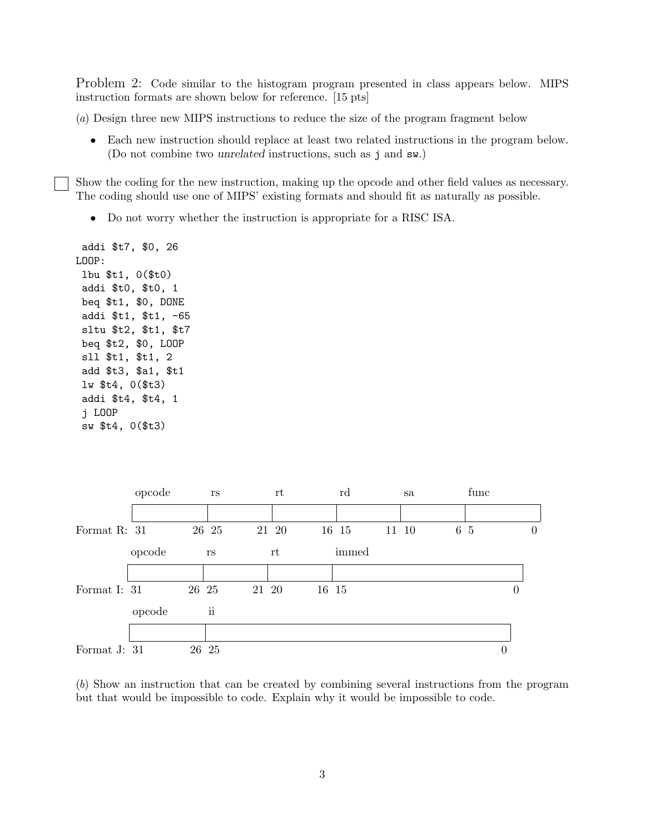Problem 2: Code similar to the histogram program presented in class appears below. MIPS instruction formats are shown below for reference. [15 pts]

(a) Design three new MIPS instructions to reduce the size of the program fragment below

• Each new instruction should replace at least two related instructions in the program below. (Do not combine two *unrelated* instructions, such as j and sw.)

Show the coding for the new instruction, making up the opcode and other field values as necessary. The coding should use one of MIPS' existing formats and should fit as naturally as possible.

• Do not worry whether the instruction is appropriate for a RISC ISA.

```
addi $t7, $0, 26
LOOP:
 lbu $t1, 0($t0)
 addi $t0, $t0, 1
beq $t1, $0, DONE
 addi $t1, $t1, -65
 sltu $t2, $t1, $t7
 beq $t2, $0, LOOP
 sll $t1, $t1, 2
 add $t3, $a1, $t1
 lw $t4, 0($t3)
 addi $t4, $t4, 1
 j LOOP
 sw $t4, 0($t3)
```


(b) Show an instruction that can be created by combining several instructions from the program but that would be impossible to code. Explain why it would be impossible to code.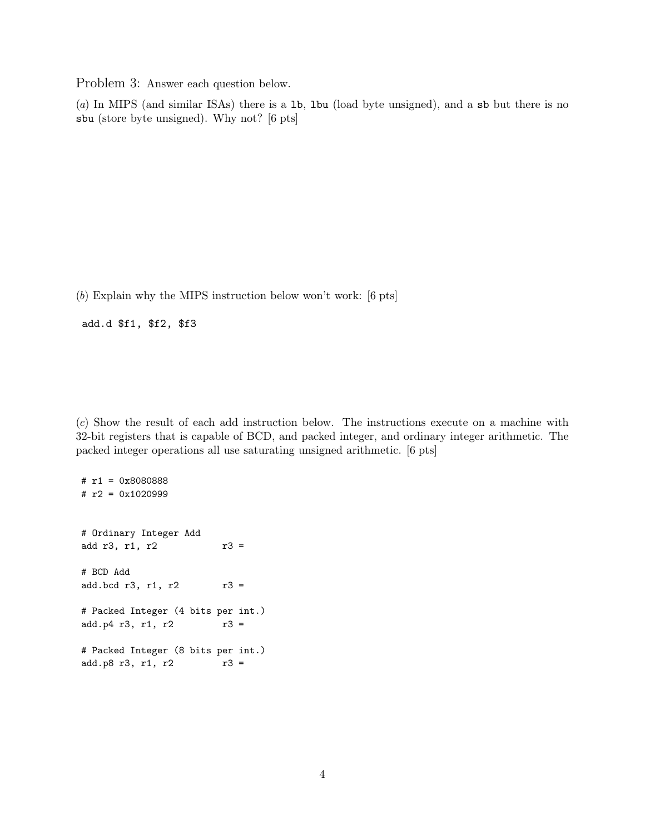Problem 3: Answer each question below.

(a) In MIPS (and similar ISAs) there is a lb, lbu (load byte unsigned), and a sb but there is no sbu (store byte unsigned). Why not? [6 pts]

(b) Explain why the MIPS instruction below won't work: [6 pts]

add.d \$f1, \$f2, \$f3

(c) Show the result of each add instruction below. The instructions execute on a machine with 32-bit registers that is capable of BCD, and packed integer, and ordinary integer arithmetic. The packed integer operations all use saturating unsigned arithmetic. [6 pts]

# r1 = 0x8080888 # r2 = 0x1020999 # Ordinary Integer Add add  $r3$ ,  $r1$ ,  $r2$   $r3 =$ # BCD Add add.bcd r3, r1, r2 r3 = # Packed Integer (4 bits per int.)  $add.p4 r3, r1, r2$   $r3 =$ # Packed Integer (8 bits per int.)  $add.p8 r3, r1, r2$  r3 =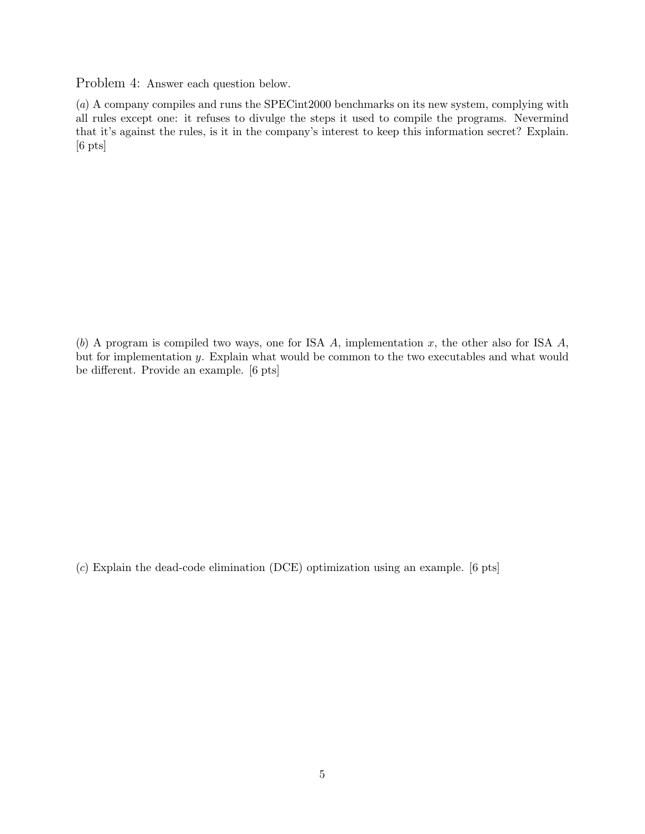Problem 4: Answer each question below.

(a) A company compiles and runs the SPECint2000 benchmarks on its new system, complying with all rules except one: it refuses to divulge the steps it used to compile the programs. Nevermind that it's against the rules, is it in the company's interest to keep this information secret? Explain. [6 pts]

(b) A program is compiled two ways, one for ISA  $A$ , implementation  $x$ , the other also for ISA  $A$ , but for implementation y. Explain what would be common to the two executables and what would be different. Provide an example. [6 pts]

(c) Explain the dead-code elimination (DCE) optimization using an example. [6 pts]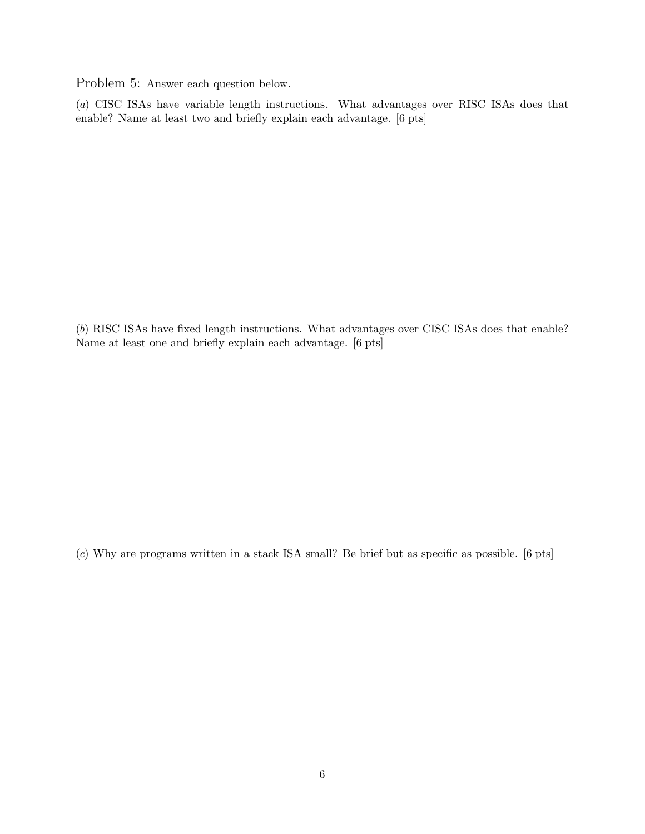Problem 5: Answer each question below.

(a) CISC ISAs have variable length instructions. What advantages over RISC ISAs does that enable? Name at least two and briefly explain each advantage. [6 pts]

(b) RISC ISAs have fixed length instructions. What advantages over CISC ISAs does that enable? Name at least one and briefly explain each advantage. [6 pts]

(c) Why are programs written in a stack ISA small? Be brief but as specific as possible. [6 pts]